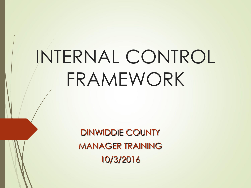# INTERNAL CONTROL FRAMEWORK

DINWIDDIE COUNTY MANAGER TRAINING 10/3/2016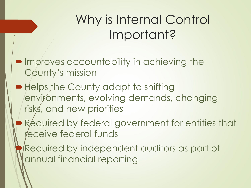# Why is Internal Control Important?

- **Improves accountability in achieving the** County's mission
- Helps the County adapt to shifting environments, evolving demands, changing risks, and new priorities
	- Required by federal government for entities that receive federal funds
- Required by independent auditors as part of annual financial reporting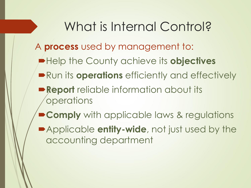### What is Internal Control?

#### A **process** used by management to:

- $\blacktriangleright$  **Help the County achieve its objectives**
- **Run its operations** efficiently and effectively
- **Report** reliable information about its **operations**
- **Comply** with applicable laws & regulations
- Applicable **entity-wide**, not just used by the accounting department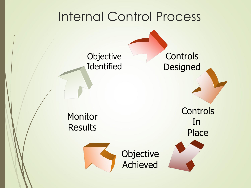#### Internal Control Process

**Objective Identified** 

**Controls Designed** 

**Monitor Results** 



**Objective** Achieved

**Controls** In Place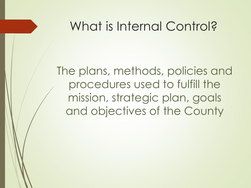#### What is Internal Control?

The plans, methods, policies and procedures used to fulfill the mission, strategic plan, goals and objectives of the County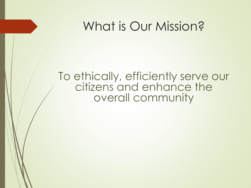#### What is Our Mission?

#### To ethically, efficiently serve our citizens and enhance the overall community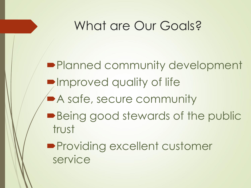#### What are Our Goals?

**Planned community development Improved quality of life** A safe, secure community **Being good stewards of the public** trust **Providing excellent customer** service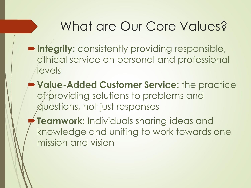#### What are Our Core Values?

- **Integrity:** consistently providing responsible, ethical service on personal and professional levels
- **Value-Added Customer Service:** the practice of providing solutions to problems and questions, not just responses
	- **Teamwork:** Individuals sharing ideas and knowledge and uniting to work towards one mission and vision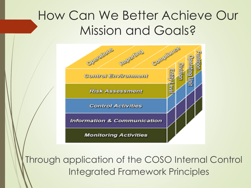#### How Can We Better Achieve Our Mission and Goals?



Through application of the COSO Internal Control Integrated Framework Principles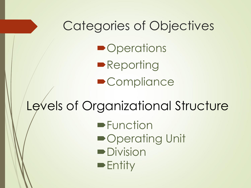# Categories of Objectives **• Operations**

**Reporting •Compliance** 

### Levels of Organizational Structure

- **Function**
- ■Operating Unit
- **Division**
- $\blacktriangleright$  Entity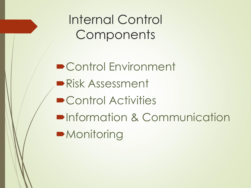Internal Control **Components** 

■ Control Environment Risk Assessment **• Control Activities • Information & Communication •Monitoring**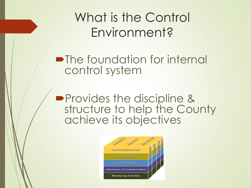What is the Control Environment?

**•The foundation for internal** control system

**Provides the discipline &** structure to help the County achieve its objectives

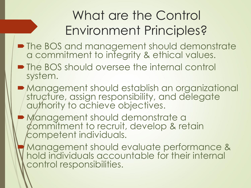# What are the Control Environment Principles?

- The BOS and management should demonstrate a commitment to integrity & ethical values.
- The BOS should oversee the internal control system.
- Management should establish an organizational structure, assign responsibility, and delegate authority to achieve objectives.
- Management should demonstrate a commitment to recruit, develop & retain competent individuals.
- Management should evaluate performance & hold individuals accountable for their internal control responsibilities.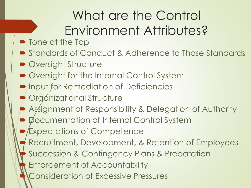# What are the Control Environment Attributes?

- **Tone at the Top**
- Standards of Conduct & Adherence to Those Standards
- Oversight Structure
- Øversight for the Internal Control System
- **Input for Remediation of Deficiencies**
- **Organizational Structure**
- Assignment of Responsibility & Delegation of Authority
- Øocumentation of Internal Control System
- Expectations of Competence
- Recruitment, Development, & Retention of Employees
- Succession & Contingency Plans & Preparation
	- Enforcement of Accountability
- Consideration of Excessive Pressures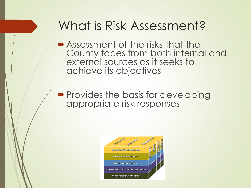#### What is Risk Assessment?

■ Assessment of the risks that the County faces from both internal and external sources as it seeks to achieve its objectives

**Provides the basis for developing** appropriate risk responses

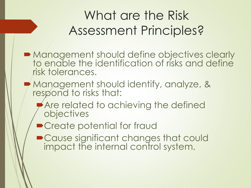# What are the Risk Assessment Principles?

- Management should define objectives clearly to enable the identification of risks and define risk tolerances.
- **Management should identify, analyze, &** respond to risks that:
	- Are related to achieving the defined objectives
	- Create potential for fraud
	- Cause significant changes that could impact the internal control system.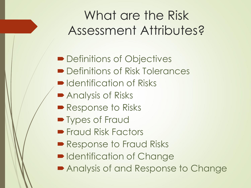# What are the Risk Assessment Attributes?

- Definitions of Objectives ■ Definitions of Risk Tolerances
- $\blacksquare$  Identification of Risks
- **Analysis of Risks**
- Response to Risks
- **Types of Fraud**
- **Fraud Risk Factors**
- Response to Fraud Risks
- **Identification of Change**
- Analysis of and Response to Change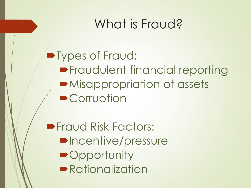## What is Fraud?

Types of Fraud: **Fraudulent financial reporting** Misappropriation of assets **• Corruption** 

**Fraud Risk Factors: •Incentive/pressure • Opportunity Rationalization**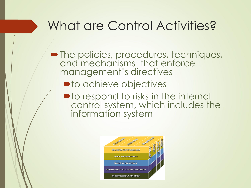## What are Control Activities?

- The policies, procedures, techniques, and mechanisms that enforce management's directives
	- $\blacksquare$  to achieve objectives
	- $\blacksquare$  to respond to risks in the internal control system, which includes the information system

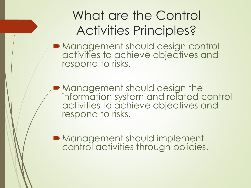# What are the Control Activities Principles?

Management should design control activities to achieve objectives and respond to risks.

**Management should design the** information system and related control activities to achieve objectives and respond to risks.

**Management should implement** control activities through policies.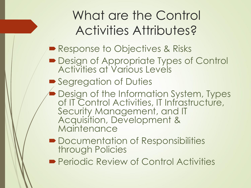# What are the Control Activities Attributes?

#### Response to Objectives & Risks

- **Design of Appropriate Types of Control** Activities at Various Levels
- Segregation of Duties
- **Design of the Information System, Types** of IT Control Activities, IT Infrastructure, Security Management, and IT Acquisition, Development & **Maintenance**
- **Documentation of Responsibilities** through Policies
- **Periodic Review of Control Activities**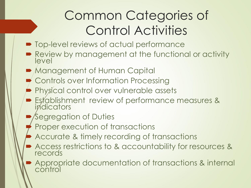# Common Categories of Control Activities

- **Top-level reviews of actual performance**
- Review by management at the functional or activity level
- **Management of Human Capital**
- Controls over Information Processing
- **Physical control over vulnerable assets**
- **Establishment review of performance measures &** indicators
- Segregation of Duties
- Proper execution of transactions
- Accurate & timely recording of transactions
- Access restrictions to & accountability for resources & records
- Appropriate documentation of transactions & internal control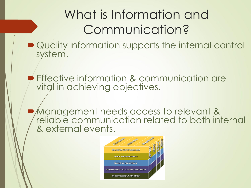# What is Information and Communication?

- Quality information supports the internal control system.
	- Effective information & communication are vital in achieving objectives.
	- Management needs access to relevant & reliable communication related to both internal & external events.

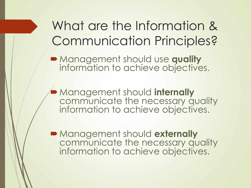### What are the Information & Communication Principles?

Management should use **quality** information to achieve objectives.

Management should **internally** communicate the necessary quality information to achieve objectives.

Management should **externally** communicate the necessary quality information to achieve objectives.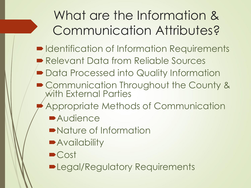# What are the Information & Communication Attributes?

- $\blacksquare$  Identification of Information Requirements
- Relevant Data from Reliable Sources
- **Data Processed into Quality Information**
- Communication Throughout the County & with External Parties
	- Appropriate Methods of Communication
		- **Audience**
		- Nature of Information
		- **Availability**
		- Cost
		- **Degal/Regulatory Requirements**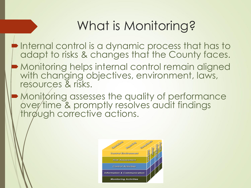# What is Monitoring?

- $\blacktriangleright$  Internal control is a dynamic process that has to adapt to risks & changes that the County faces.
- Monitoring helps internal control remain aligned with changing objectives, environment, laws, resources & risks.
- Monitoring assesses the quality of performance over time & promptly resolves audit findings through corrective actions.

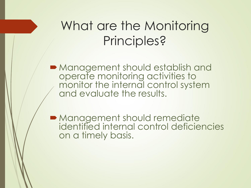#### What are the Monitoring Principles?

Management should establish and operate monitoring activities to monitor the internal control system and evaluate the results.

**Management should remediate** identified internal control deficiencies on a timely basis.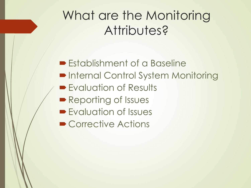## What are the Monitoring Attributes?

**Establishment of a Baseline** 

- **Internal Control System Monitoring**
- **Exaluation of Results**
- Reporting of Issues
- **Evaluation of Issues**
- Corrective Actions